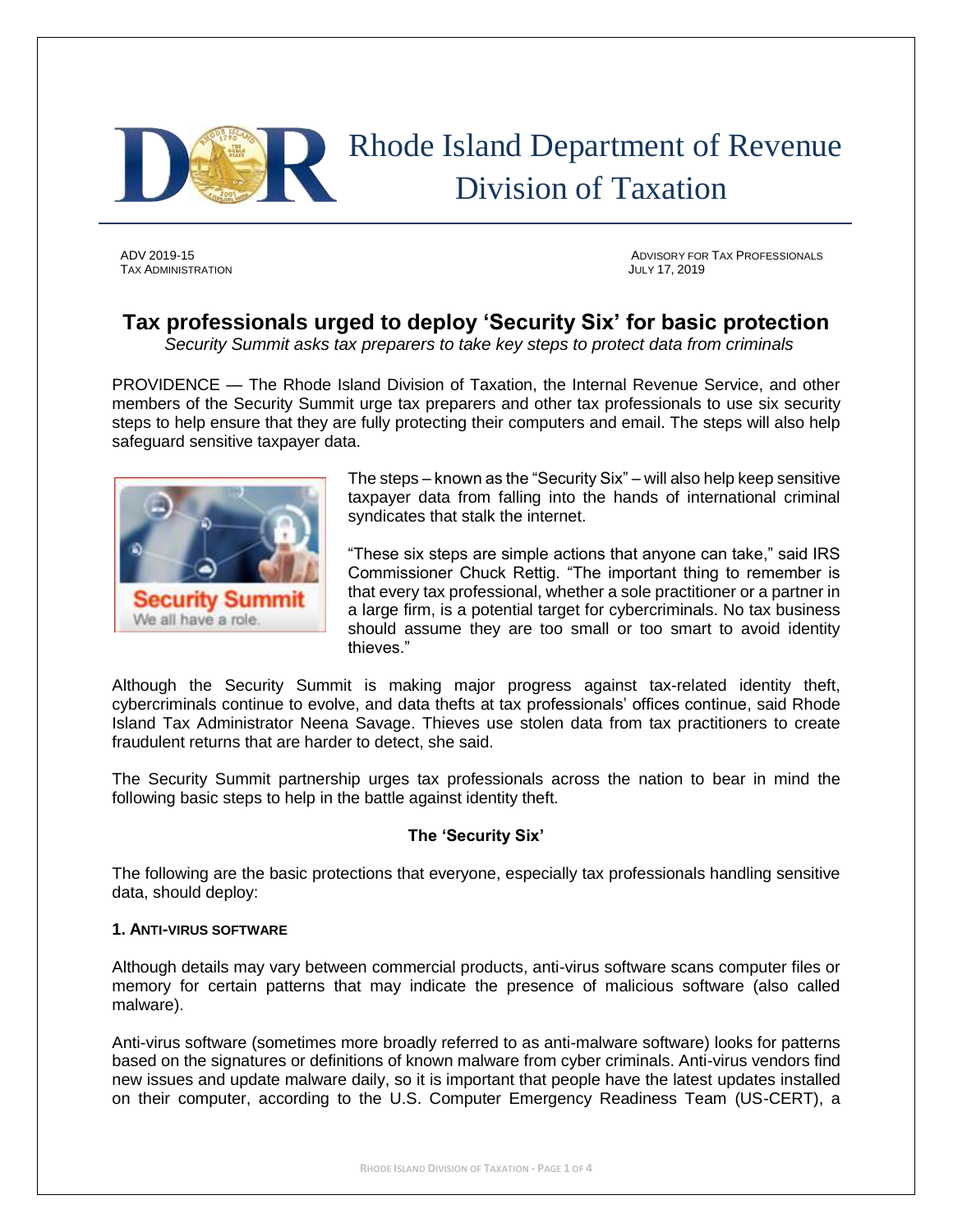

# Rhode Island Department of Revenue Division of Taxation

TAX ADMINISTRATION JULY 17, 2019

ADV 2019-15 ADVISORY FOR TAX PROFESSIONALS

# **Tax professionals urged to deploy 'Security Six' for basic protection**

*Security Summit asks tax preparers to take key steps to protect data from criminals*

PROVIDENCE — The Rhode Island Division of Taxation, the Internal Revenue Service, and other members of the Security Summit urge tax preparers and other tax professionals to use six security steps to help ensure that they are fully protecting their computers and email. The steps will also help safeguard sensitive taxpayer data.



The steps – known as the "Security Six" – will also help keep sensitive taxpayer data from falling into the hands of international criminal syndicates that stalk the internet.

"These six steps are simple actions that anyone can take," said IRS Commissioner Chuck Rettig. "The important thing to remember is that every tax professional, whether a sole practitioner or a partner in a large firm, is a potential target for cybercriminals. No tax business should assume they are too small or too smart to avoid identity thieves."

Although the Security Summit is making major progress against tax-related identity theft, cybercriminals continue to evolve, and data thefts at tax professionals' offices continue, said Rhode Island Tax Administrator Neena Savage. Thieves use stolen data from tax practitioners to create fraudulent returns that are harder to detect, she said.

The Security Summit partnership urges tax professionals across the nation to bear in mind the following basic steps to help in the battle against identity theft.

## **The 'Security Six'**

The following are the basic protections that everyone, especially tax professionals handling sensitive data, should deploy:

#### **1. ANTI-VIRUS SOFTWARE**

Although details may vary between commercial products, anti-virus software scans computer files or memory for certain patterns that may indicate the presence of malicious software (also called malware).

Anti-virus software (sometimes more broadly referred to as anti-malware software) looks for patterns based on the signatures or definitions of known malware from cyber criminals. Anti-virus vendors find new issues and update malware daily, so it is important that people have the latest updates installed on their computer, according to the U.S. Computer Emergency Readiness Team (US-CERT), a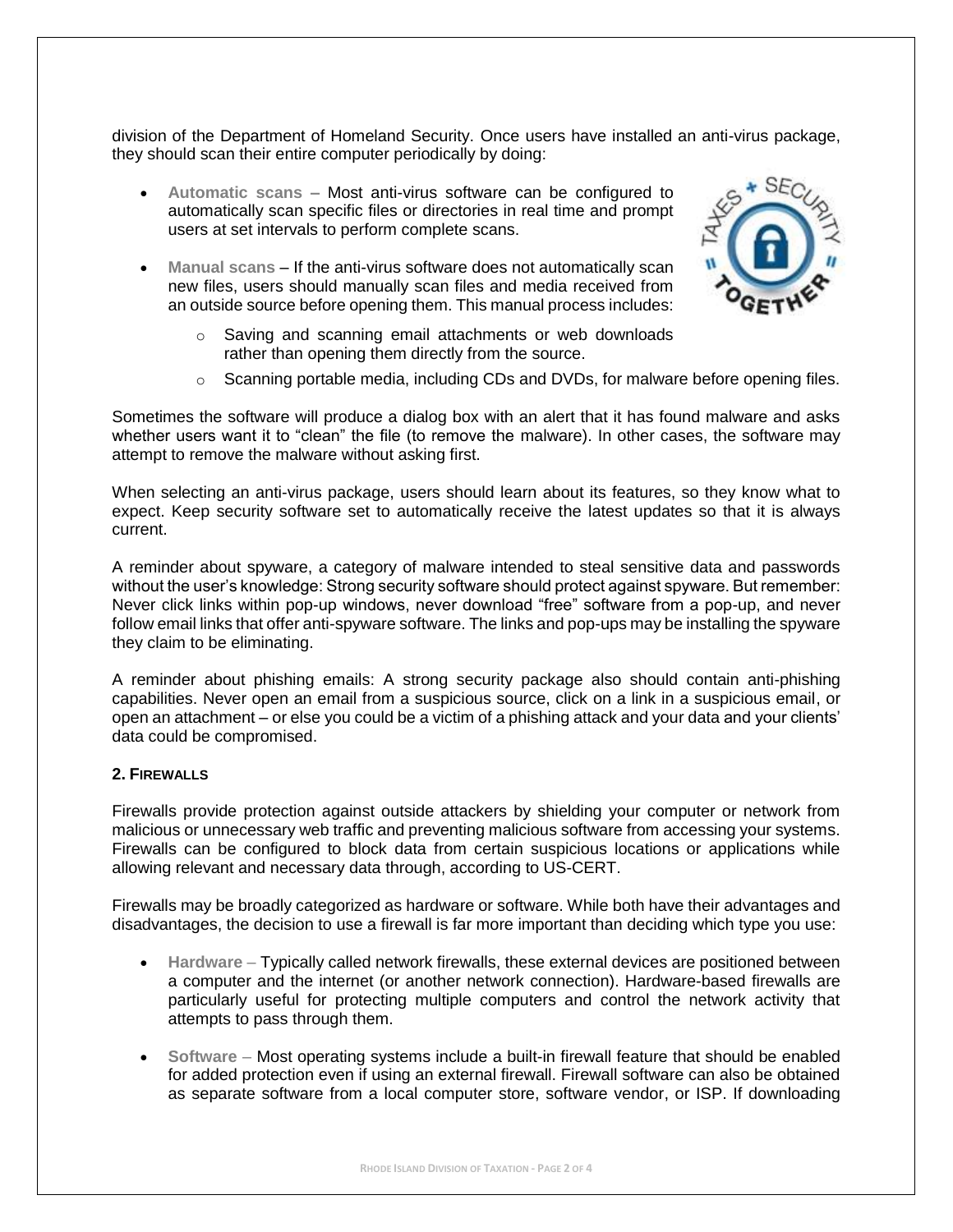division of the Department of Homeland Security. Once users have installed an anti-virus package, they should scan their entire computer periodically by doing:

- **Automatic scans –** Most anti-virus software can be configured to automatically scan specific files or directories in real time and prompt users at set intervals to perform complete scans.
- **Manual scans** If the anti-virus software does not automatically scan new files, users should manually scan files and media received from an outside source before opening them. This manual process includes:



- o Saving and scanning email attachments or web downloads rather than opening them directly from the source.
- $\circ$  Scanning portable media, including CDs and DVDs, for malware before opening files.

Sometimes the software will produce a dialog box with an alert that it has found malware and asks whether users want it to "clean" the file (to remove the malware). In other cases, the software may attempt to remove the malware without asking first.

When selecting an anti-virus package, users should learn about its features, so they know what to expect. Keep security software set to automatically receive the latest updates so that it is always current.

A reminder about spyware, a category of malware intended to steal sensitive data and passwords without the user's knowledge: Strong security software should protect against spyware. But remember: Never click links within pop-up windows, never download "free" software from a pop-up, and never follow email links that offer anti-spyware software. The links and pop-ups may be installing the spyware they claim to be eliminating.

A reminder about phishing emails: A strong security package also should contain anti-phishing capabilities. Never open an email from a suspicious source, click on a link in a suspicious email, or open an attachment – or else you could be a victim of a phishing attack and your data and your clients' data could be compromised.

## **2. FIREWALLS**

Firewalls provide protection against outside attackers by shielding your computer or network from malicious or unnecessary web traffic and preventing malicious software from accessing your systems. Firewalls can be configured to block data from certain suspicious locations or applications while allowing relevant and necessary data through, according to US-CERT.

Firewalls may be broadly categorized as hardware or software. While both have their advantages and disadvantages, the decision to use a firewall is far more important than deciding which type you use:

- **Hardware** Typically called network firewalls, these external devices are positioned between a computer and the internet (or another network connection). Hardware-based firewalls are particularly useful for protecting multiple computers and control the network activity that attempts to pass through them.
- **Software**  Most operating systems include a built-in firewall feature that should be enabled for added protection even if using an external firewall. Firewall software can also be obtained as separate software from a local computer store, software vendor, or ISP. If downloading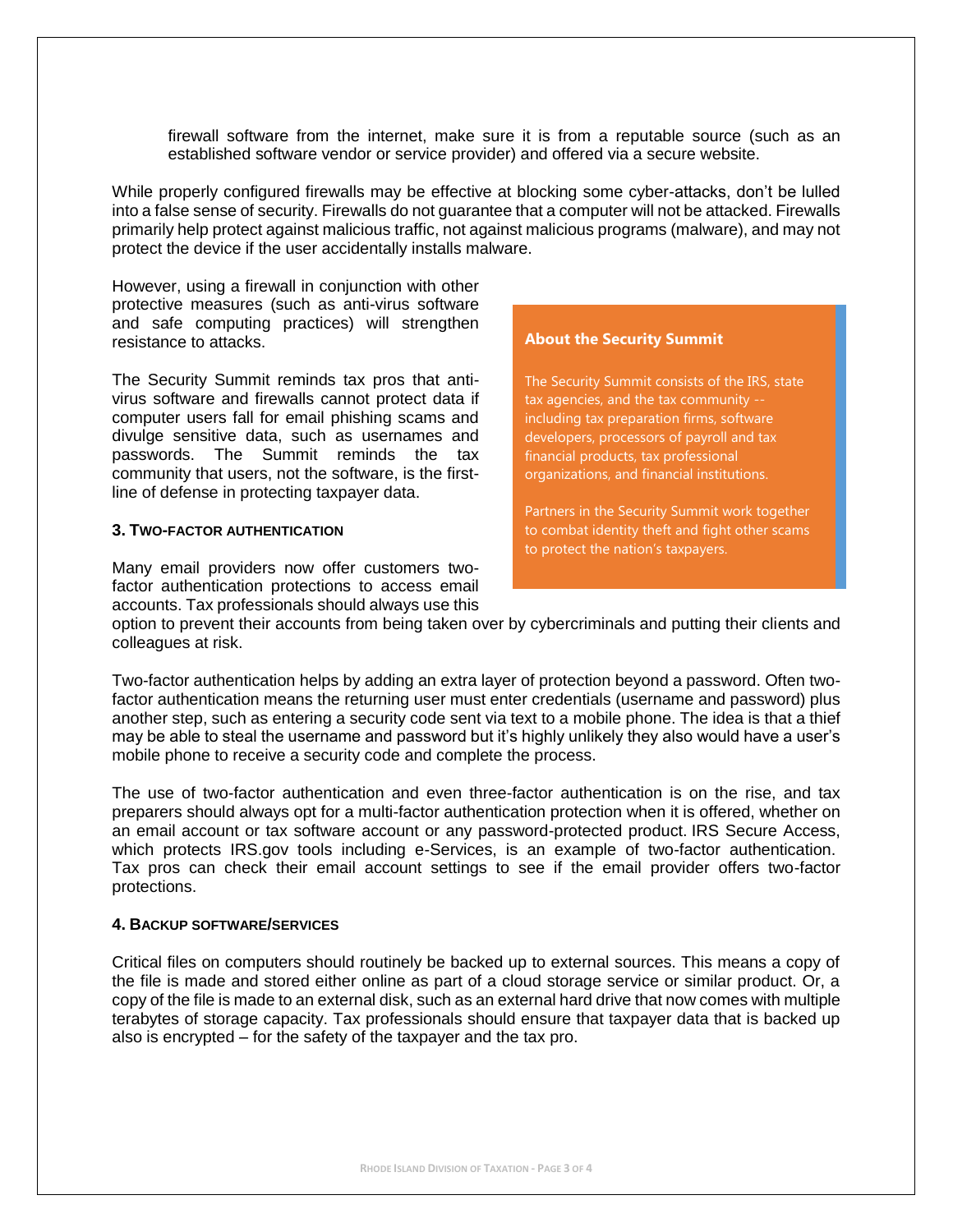firewall software from the internet, make sure it is from a reputable source (such as an established software vendor or service provider) and offered via a secure website.

While properly configured firewalls may be effective at blocking some cyber-attacks, don't be lulled into a false sense of security. Firewalls do not guarantee that a computer will not be attacked. Firewalls primarily help protect against malicious traffic, not against malicious programs (malware), and may not protect the device if the user accidentally installs malware.

However, using a firewall in conjunction with other protective measures (such as anti-virus software and safe computing practices) will strengthen resistance to attacks.

The Security Summit reminds tax pros that antivirus software and firewalls cannot protect data if computer users fall for email phishing scams and divulge sensitive data, such as usernames and passwords. The Summit reminds the tax community that users, not the software, is the firstline of defense in protecting taxpayer data.

#### **3. TWO-FACTOR AUTHENTICATION**

Many email providers now offer customers twofactor authentication protections to access email accounts. Tax professionals should always use this **About the Security Summit**

The Security Summit consists of the IRS, state tax agencies, and the tax community - including tax preparation firms, software developers, processors of payroll and tax financial products, tax professional organizations, and financial institutions.

Partners in the Security Summit work together to combat identity theft and fight other scams to protect the nation's taxpayers.

option to prevent their accounts from being taken over by cybercriminals and putting their clients and colleagues at risk.

Two-factor authentication helps by adding an extra layer of protection beyond a password. Often twofactor authentication means the returning user must enter credentials (username and password) plus another step, such as entering a security code sent via text to a mobile phone. The idea is that a thief may be able to steal the username and password but it's highly unlikely they also would have a user's mobile phone to receive a security code and complete the process.

The use of two-factor authentication and even three-factor authentication is on the rise, and tax preparers should always opt for a multi-factor authentication protection when it is offered, whether on an email account or tax software account or any password-protected product. IRS Secure Access, which protects IRS, gov tools including e-Services, is an example of two-factor authentication. Tax pros can check their email account settings to see if the email provider offers two-factor protections.

#### **4. BACKUP SOFTWARE/SERVICES**

Critical files on computers should routinely be backed up to external sources. This means a copy of the file is made and stored either online as part of a cloud storage service or similar product. Or, a copy of the file is made to an external disk, such as an external hard drive that now comes with multiple terabytes of storage capacity. Tax professionals should ensure that taxpayer data that is backed up also is encrypted – for the safety of the taxpayer and the tax pro.